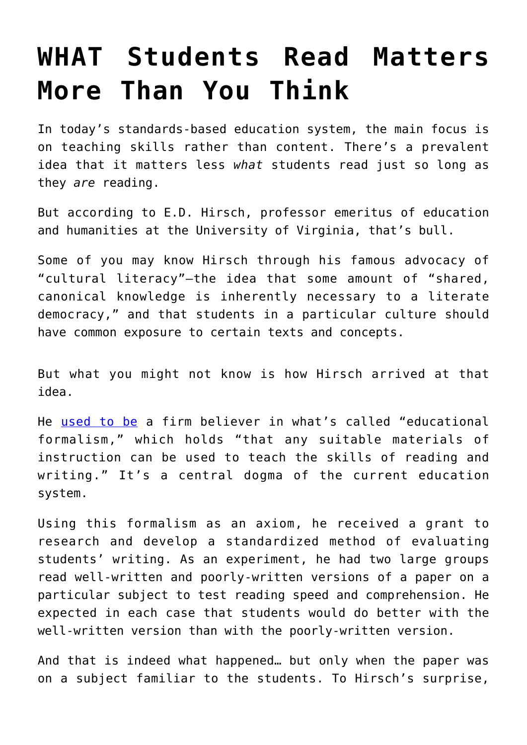## **[WHAT Students Read Matters](https://intellectualtakeout.org/2016/02/what-students-read-matters-more-than-you-think/) [More Than You Think](https://intellectualtakeout.org/2016/02/what-students-read-matters-more-than-you-think/)**

In today's standards-based education system, the main focus is on teaching skills rather than content. There's a prevalent idea that it matters less *what* students read just so long as they *are* reading.

But according to E.D. Hirsch, professor emeritus of education and humanities at the University of Virginia, that's bull.

Some of you may know Hirsch through his famous advocacy of "cultural literacy"—the idea that some amount of "shared, canonical knowledge is inherently necessary to a literate democracy," and that students in a particular culture should have common exposure to certain texts and concepts.

But what you might not know is how Hirsch arrived at that idea.

He [used to be](http://isites.harvard.edu/fs/docs/icb.topic469725.files/hirsch.pdf) a firm believer in what's called "educational formalism," which holds "that any suitable materials of instruction can be used to teach the skills of reading and writing." It's a central dogma of the current education system.

Using this formalism as an axiom, he received a grant to research and develop a standardized method of evaluating students' writing. As an experiment, he had two large groups read well-written and poorly-written versions of a paper on a particular subject to test reading speed and comprehension. He expected in each case that students would do better with the well-written version than with the poorly-written version.

And that is indeed what happened… but only when the paper was on a subject familiar to the students. To Hirsch's surprise,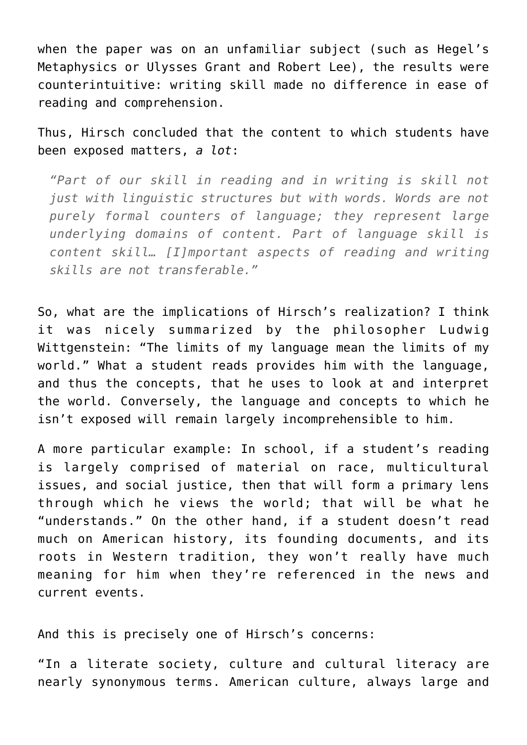when the paper was on an unfamiliar subject (such as Hegel's Metaphysics or Ulysses Grant and Robert Lee), the results were counterintuitive: writing skill made no difference in ease of reading and comprehension.

Thus, Hirsch concluded that the content to which students have been exposed matters, *a lot*:

*"Part of our skill in reading and in writing is skill not just with linguistic structures but with words. Words are not purely formal counters of language; they represent large underlying domains of content. Part of language skill is content skill… [I]mportant aspects of reading and writing skills are not transferable."*

So, what are the implications of Hirsch's realization? I think it was nicely summarized by the philosopher Ludwig Wittgenstein: "The limits of my language mean the limits of my world." What a student reads provides him with the language, and thus the concepts, that he uses to look at and interpret the world. Conversely, the language and concepts to which he isn't exposed will remain largely incomprehensible to him.

A more particular example: In school, if a student's reading is largely comprised of material on race, multicultural issues, and social justice, then that will form a primary lens through which he views the world; that will be what he "understands." On the other hand, if a student doesn't read much on American history, its founding documents, and its roots in Western tradition, they won't really have much meaning for him when they're referenced in the news and current events.

And this is precisely one of Hirsch's concerns:

"In a literate society, culture and cultural literacy are nearly synonymous terms. American culture, always large and